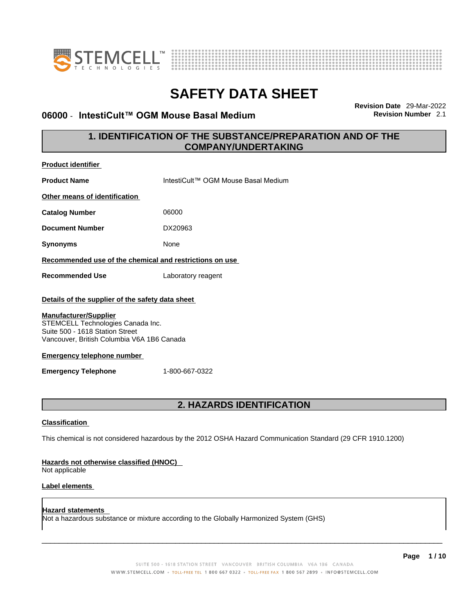



## **06000** - **IntestiCult™ OGM Mouse Basal Medium Revision Number** 2.1

**Revision Date** 29-Mar-2022

## **1. IDENTIFICATION OF THE SUBSTANCE/PREPARATION AND OF THE COMPANY/UNDERTAKING**

| <b>Product identifier</b>                                                                                                                          |                                                                                                             |
|----------------------------------------------------------------------------------------------------------------------------------------------------|-------------------------------------------------------------------------------------------------------------|
| <b>Product Name</b>                                                                                                                                | IntestiCult™ OGM Mouse Basal Medium                                                                         |
| Other means of identification                                                                                                                      |                                                                                                             |
| <b>Catalog Number</b>                                                                                                                              | 06000                                                                                                       |
| <b>Document Number</b>                                                                                                                             | DX20963                                                                                                     |
| <b>Synonyms</b>                                                                                                                                    | None                                                                                                        |
| Recommended use of the chemical and restrictions on use                                                                                            |                                                                                                             |
| <b>Recommended Use</b>                                                                                                                             | Laboratory reagent                                                                                          |
| Details of the supplier of the safety data sheet                                                                                                   |                                                                                                             |
| <b>Manufacturer/Supplier</b><br>STEMCELL Technologies Canada Inc.<br>Suite 500 - 1618 Station Street<br>Vancouver, British Columbia V6A 1B6 Canada |                                                                                                             |
| <b>Emergency telephone number</b>                                                                                                                  |                                                                                                             |
| <b>Emergency Telephone</b>                                                                                                                         | 1-800-667-0322                                                                                              |
|                                                                                                                                                    |                                                                                                             |
|                                                                                                                                                    | 2. HAZARDS IDENTIFICATION                                                                                   |
| <b>Classification</b>                                                                                                                              |                                                                                                             |
|                                                                                                                                                    | This chemical is not considered hazardous by the 2012 OSHA Hazard Communication Standard (29 CFR 1910.1200) |
| Hazards not otherwise classified (HNOC)<br>Not applicable                                                                                          |                                                                                                             |
| <b>Label elements</b>                                                                                                                              |                                                                                                             |
| <b>Hazard statements</b>                                                                                                                           | Not a hazardous substance or mixture according to the Globally Harmonized System (GHS)                      |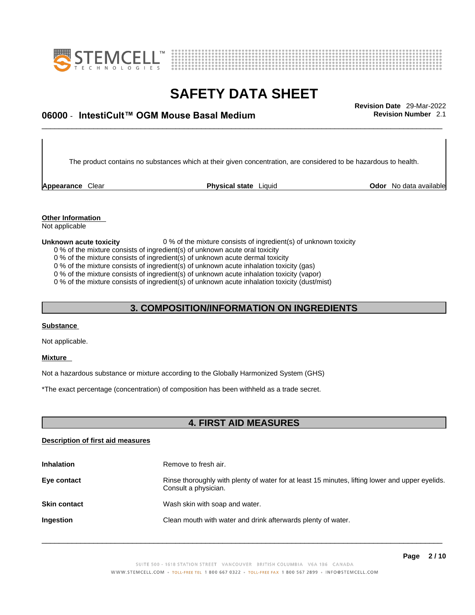



## \_\_\_\_\_\_\_\_\_\_\_\_\_\_\_\_\_\_\_\_\_\_\_\_\_\_\_\_\_\_\_\_\_\_\_\_\_\_\_\_\_\_\_\_\_\_\_\_\_\_\_\_\_\_\_\_\_\_\_\_\_\_\_\_\_\_\_\_\_\_\_\_\_\_\_\_\_\_\_\_\_\_\_\_\_\_\_\_\_\_\_\_\_ **Revision Date** 29-Mar-2022 **06000** - **IntestiCult™ OGM Mouse Basal Medium Revision Number** 2.1

The product contains no substances which at their given concentration, are considered to be hazardous to health.

**Appearance** Clear **Physical state** Liquid

**Odor** No data available

**Other Information**  Not applicable

#### **Unknown acute toxicity** 0 % of the mixture consists of ingredient(s) of unknown toxicity

0 % of the mixture consists of ingredient(s) of unknown acute oral toxicity

0 % of the mixture consists of ingredient(s) of unknown acute dermal toxicity

0 % of the mixture consists of ingredient(s) of unknown acute inhalation toxicity (gas)

0 % of the mixture consists of ingredient(s) of unknown acute inhalation toxicity (vapor)

0 % of the mixture consists of ingredient(s) of unknown acute inhalation toxicity (dust/mist)

## **3. COMPOSITION/INFORMATION ON INGREDIENTS**

#### **Substance**

Not applicable.

#### **Mixture**

Not a hazardous substance or mixture according to the Globally Harmonized System (GHS)

\*The exact percentage (concentration) of composition has been withheld as a trade secret.

## **4. FIRST AID MEASURES**

#### **Description of first aid measures**

| <b>Inhalation</b>   | Remove to fresh air.                                                                                                    |
|---------------------|-------------------------------------------------------------------------------------------------------------------------|
| Eye contact         | Rinse thoroughly with plenty of water for at least 15 minutes, lifting lower and upper eyelids.<br>Consult a physician. |
| <b>Skin contact</b> | Wash skin with soap and water.                                                                                          |
| <b>Ingestion</b>    | Clean mouth with water and drink afterwards plenty of water.                                                            |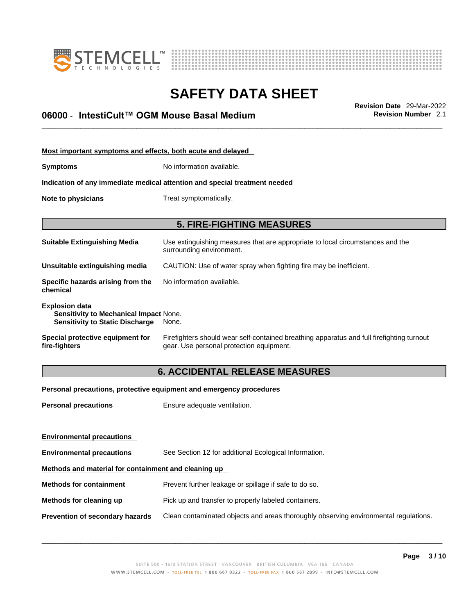



## \_\_\_\_\_\_\_\_\_\_\_\_\_\_\_\_\_\_\_\_\_\_\_\_\_\_\_\_\_\_\_\_\_\_\_\_\_\_\_\_\_\_\_\_\_\_\_\_\_\_\_\_\_\_\_\_\_\_\_\_\_\_\_\_\_\_\_\_\_\_\_\_\_\_\_\_\_\_\_\_\_\_\_\_\_\_\_\_\_\_\_\_\_ **Revision Date** 29-Mar-2022 **06000** - **IntestiCult™ OGM Mouse Basal Medium Revision Number** 2.1

| Most important symptoms and effects, both acute and delayed                                                      |                                                                                                                                       |  |
|------------------------------------------------------------------------------------------------------------------|---------------------------------------------------------------------------------------------------------------------------------------|--|
| <b>Symptoms</b>                                                                                                  | No information available.                                                                                                             |  |
|                                                                                                                  | Indication of any immediate medical attention and special treatment needed                                                            |  |
| Note to physicians                                                                                               | Treat symptomatically.                                                                                                                |  |
|                                                                                                                  |                                                                                                                                       |  |
|                                                                                                                  | <b>5. FIRE-FIGHTING MEASURES</b>                                                                                                      |  |
| <b>Suitable Extinguishing Media</b>                                                                              | Use extinguishing measures that are appropriate to local circumstances and the<br>surrounding environment.                            |  |
| Unsuitable extinguishing media                                                                                   | CAUTION: Use of water spray when fighting fire may be inefficient.                                                                    |  |
| Specific hazards arising from the<br>chemical                                                                    | No information available.                                                                                                             |  |
| <b>Explosion data</b><br><b>Sensitivity to Mechanical Impact None.</b><br><b>Sensitivity to Static Discharge</b> | None.                                                                                                                                 |  |
| Special protective equipment for<br>fire-fiqhters                                                                | Firefighters should wear self-contained breathing apparatus and full firefighting turnout<br>gear. Use personal protection equipment. |  |

## **6. ACCIDENTAL RELEASE MEASURES**

## **Personal precautions, protective equipment and emergency procedures**

| <b>Personal precautions</b>                          | Ensure adequate ventilation.                                                         |  |  |
|------------------------------------------------------|--------------------------------------------------------------------------------------|--|--|
| <b>Environmental precautions</b>                     |                                                                                      |  |  |
| <b>Environmental precautions</b>                     | See Section 12 for additional Ecological Information.                                |  |  |
| Methods and material for containment and cleaning up |                                                                                      |  |  |
| <b>Methods for containment</b>                       | Prevent further leakage or spillage if safe to do so.                                |  |  |
| Methods for cleaning up                              | Pick up and transfer to properly labeled containers.                                 |  |  |
| Prevention of secondary hazards                      | Clean contaminated objects and areas thoroughly observing environmental regulations. |  |  |
|                                                      |                                                                                      |  |  |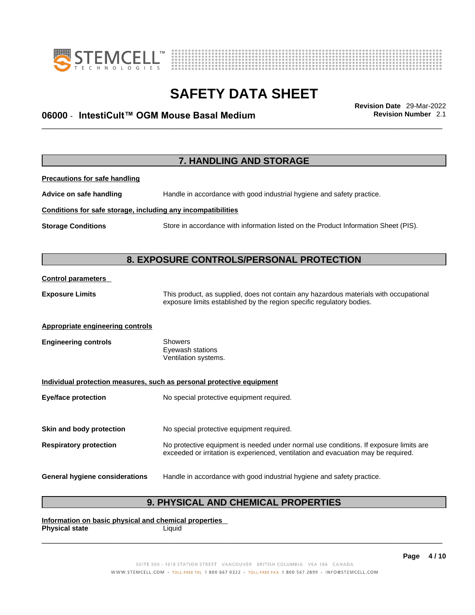



## \_\_\_\_\_\_\_\_\_\_\_\_\_\_\_\_\_\_\_\_\_\_\_\_\_\_\_\_\_\_\_\_\_\_\_\_\_\_\_\_\_\_\_\_\_\_\_\_\_\_\_\_\_\_\_\_\_\_\_\_\_\_\_\_\_\_\_\_\_\_\_\_\_\_\_\_\_\_\_\_\_\_\_\_\_\_\_\_\_\_\_\_\_ **Revision Date** 29-Mar-2022 **06000** - **IntestiCult™ OGM Mouse Basal Medium Revision Number** 2.1

|                                                              | <b>7. HANDLING AND STORAGE</b>                                                                                                                                              |
|--------------------------------------------------------------|-----------------------------------------------------------------------------------------------------------------------------------------------------------------------------|
| <b>Precautions for safe handling</b>                         |                                                                                                                                                                             |
| Advice on safe handling                                      | Handle in accordance with good industrial hygiene and safety practice.                                                                                                      |
| Conditions for safe storage, including any incompatibilities |                                                                                                                                                                             |
| <b>Storage Conditions</b>                                    | Store in accordance with information listed on the Product Information Sheet (PIS).                                                                                         |
|                                                              |                                                                                                                                                                             |
|                                                              | 8. EXPOSURE CONTROLS/PERSONAL PROTECTION                                                                                                                                    |
| <b>Control parameters</b>                                    |                                                                                                                                                                             |
| <b>Exposure Limits</b>                                       | This product, as supplied, does not contain any hazardous materials with occupational<br>exposure limits established by the region specific regulatory bodies.              |
| Appropriate engineering controls                             |                                                                                                                                                                             |
| <b>Engineering controls</b>                                  | <b>Showers</b><br>Eyewash stations<br>Ventilation systems.                                                                                                                  |
|                                                              | Individual protection measures, such as personal protective equipment                                                                                                       |
| <b>Eye/face protection</b>                                   | No special protective equipment required.                                                                                                                                   |
| Skin and body protection                                     | No special protective equipment required.                                                                                                                                   |
| <b>Respiratory protection</b>                                | No protective equipment is needed under normal use conditions. If exposure limits are<br>exceeded or irritation is experienced, ventilation and evacuation may be required. |
|                                                              |                                                                                                                                                                             |
| <b>General hygiene considerations</b>                        | Handle in accordance with good industrial hygiene and safety practice.                                                                                                      |
|                                                              |                                                                                                                                                                             |

## **9. PHYSICAL AND CHEMICAL PROPERTIES**

**Information on basic physical and chemical properties Physical state** Liquid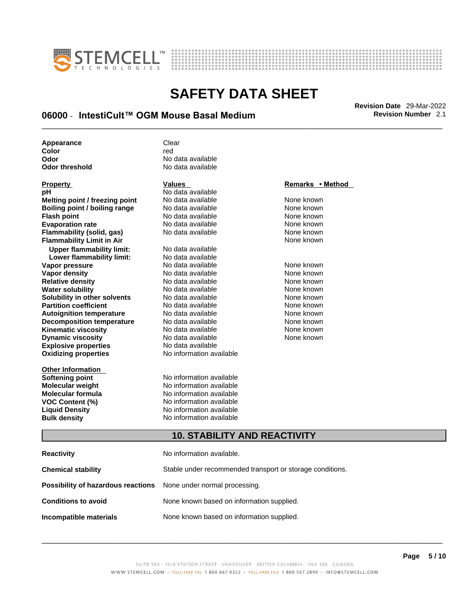



## \_\_\_\_\_\_\_\_\_\_\_\_\_\_\_\_\_\_\_\_\_\_\_\_\_\_\_\_\_\_\_\_\_\_\_\_\_\_\_\_\_\_\_\_\_\_\_\_\_\_\_\_\_\_\_\_\_\_\_\_\_\_\_\_\_\_\_\_\_\_\_\_\_\_\_\_\_\_\_\_\_\_\_\_\_\_\_\_\_\_\_\_\_ **Revision Date** 29-Mar-2022 **06000** - **IntestiCult™ OGM Mouse Basal Medium Revision Number** 2.1

| Appearance            | Clear             |
|-----------------------|-------------------|
| Color                 | red               |
| Odor                  | No data available |
| <b>Odor threshold</b> | No data available |

| <b>FIUPEILY</b>                      | v a |
|--------------------------------------|-----|
| рH                                   | Nc  |
| Melting point / freezing point       | Nc  |
| <b>Boiling point / boiling range</b> | Nc  |
| <b>Flash point</b>                   | Nc  |
| <b>Evaporation rate</b>              | Nc  |
| Flammability (solid, gas)            | Nc  |
| <b>Flammability Limit in Air</b>     |     |
| <b>Upper flammability limit:</b>     | Nc  |
| Lower flammability limit:            | Nc  |
| Vapor pressure                       | Nc  |
| Vapor density                        | Nc  |
| <b>Relative density</b>              | Nc  |
| <b>Water solubility</b>              | Nc  |
| Solubility in other solvents         | Nc  |
| <b>Partition coefficient</b>         | Nc  |
| <b>Autoignition temperature</b>      | Nc  |
| <b>Decomposition temperature</b>     | Nc  |
| <b>Kinematic viscosity</b>           | Nc  |
| <b>Dynamic viscosity</b>             | Nc  |
| <b>Explosive properties</b>          | Nc  |
| <b>Oxidizing properties</b>          | No  |
| <b>Other Information</b>             |     |
|                                      |     |

**p** data available **Oxidizing properties** No information available **p** data available **Point American points** *point had available in the None known* **Boiling point / boiling range** No data available None known **Flash point** No data available None known e and an allable None known <mark>None known</mark><br>حماية المراجع المسابق المراجع المراجع المراجع<br>المراجع المراجع المراجع المراجع المراجع المراجع المراجع المراجع المراجع **Flammability (solid, gas)** No data available None known **Upper flammability limit:** No data available **Lower flammability limit:** No data available لا العربية العالمية المعلمية المعلمية المعلمية المعلمية المعلمية المعلمية المعلمية المعلمية المعلمية<br>المعلمية المعلمية المعلمية المعلمية المعلمية المعلمية المعلمية المعلمية المعلمية المعلمية المعلمية المعلمية ال<br>المعلمية اب data available None known<br>Mone known در None known در None known **Relative** data available **b** data available None known **Solution Colubility in** a solvent in the solvent and available none known **Partition coefficient coefficient coefficient coefficient coefficient coefficient coefficient coefficient coefficient coefficient coefficient coefficient coefficient coefficient coefficient** لابوات المسير المعرفة المناف<mark>ي</mark>ة المسيرة المعرفة المسيرة المسيرة المسيرة المسيرة المسيرة المسيرة المسيرة المسير<br>المسيرة المسيرة المسيرة المسيرة المسيرة المسيرة المسيرة المسيرة المسيرة المسيرة المسيرة المسيرة المسيرة المسي **p** data available **Kingmatical Cone is a viscosity of the set of the viscosity** None known **D** data available None known

**Softening point**<br> **Molecular weight**<br> **Molecular weight**<br> **Molecular weight**<br> **Molecular weight No information available Molecular formula** No information available **VOC Content (%)**<br> **Content (%)**<br>
No information available<br>
No information available **No information available Bulk density No information available** 

## **Property CONSCRUTE IN THE VALUES REMARKS • Remarks** • **Method**

**Flammability Limit in Air** None known

## **10. STABILITY AND REACTIVITY**

| Reactivity                                                              | No information available.                                 |
|-------------------------------------------------------------------------|-----------------------------------------------------------|
| Chemical stability                                                      | Stable under recommended transport or storage conditions. |
| <b>Possibility of hazardous reactions</b> None under normal processing. |                                                           |
| <b>Conditions to avoid</b>                                              | None known based on information supplied.                 |
| Incompatible materials                                                  | None known based on information supplied.                 |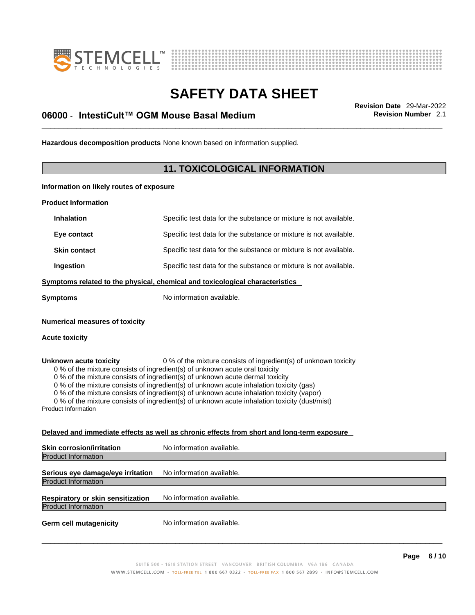



## \_\_\_\_\_\_\_\_\_\_\_\_\_\_\_\_\_\_\_\_\_\_\_\_\_\_\_\_\_\_\_\_\_\_\_\_\_\_\_\_\_\_\_\_\_\_\_\_\_\_\_\_\_\_\_\_\_\_\_\_\_\_\_\_\_\_\_\_\_\_\_\_\_\_\_\_\_\_\_\_\_\_\_\_\_\_\_\_\_\_\_\_\_ **Revision Date** 29-Mar-2022 **06000** - **IntestiCult™ OGM Mouse Basal Medium Revision Number** 2.1

**Hazardous decomposition products** None known based on information supplied.

## **11. TOXICOLOGICAL INFORMATION**

**Information on likely routes of exposure**

**Product Information**

| Specific test data for the substance or mixture is not available.<br><b>Inhalation</b><br>Specific test data for the substance or mixture is not available.<br>Eye contact<br>Specific test data for the substance or mixture is not available.<br><b>Skin contact</b><br>Ingestion<br>Specific test data for the substance or mixture is not available.<br>Symptoms related to the physical, chemical and toxicological characteristics<br>No information available.<br><b>Symptoms</b><br><b>Numerical measures of toxicity</b><br><b>Acute toxicity</b>                        |  |  |
|-----------------------------------------------------------------------------------------------------------------------------------------------------------------------------------------------------------------------------------------------------------------------------------------------------------------------------------------------------------------------------------------------------------------------------------------------------------------------------------------------------------------------------------------------------------------------------------|--|--|
|                                                                                                                                                                                                                                                                                                                                                                                                                                                                                                                                                                                   |  |  |
|                                                                                                                                                                                                                                                                                                                                                                                                                                                                                                                                                                                   |  |  |
|                                                                                                                                                                                                                                                                                                                                                                                                                                                                                                                                                                                   |  |  |
|                                                                                                                                                                                                                                                                                                                                                                                                                                                                                                                                                                                   |  |  |
|                                                                                                                                                                                                                                                                                                                                                                                                                                                                                                                                                                                   |  |  |
|                                                                                                                                                                                                                                                                                                                                                                                                                                                                                                                                                                                   |  |  |
|                                                                                                                                                                                                                                                                                                                                                                                                                                                                                                                                                                                   |  |  |
| 0 % of the mixture consists of ingredient(s) of unknown toxicity<br>Unknown acute toxicity<br>0 % of the mixture consists of ingredient(s) of unknown acute oral toxicity<br>0 % of the mixture consists of ingredient(s) of unknown acute dermal toxicity<br>0 % of the mixture consists of ingredient(s) of unknown acute inhalation toxicity (gas)<br>0 % of the mixture consists of ingredient(s) of unknown acute inhalation toxicity (vapor)<br>0 % of the mixture consists of ingredient(s) of unknown acute inhalation toxicity (dust/mist)<br><b>Product Information</b> |  |  |
| Delayed and immediate effects as well as chronic effects from short and long-term exposure                                                                                                                                                                                                                                                                                                                                                                                                                                                                                        |  |  |
| <b>Skin corrosion/irritation</b><br>No information available.<br><b>Product Information</b>                                                                                                                                                                                                                                                                                                                                                                                                                                                                                       |  |  |

Product Information **Serious eye damage/eye irritation** No information available. Product Information **Respiratory or skin sensitization** No information available. Product Information **Germ cell mutagenicity** No information available.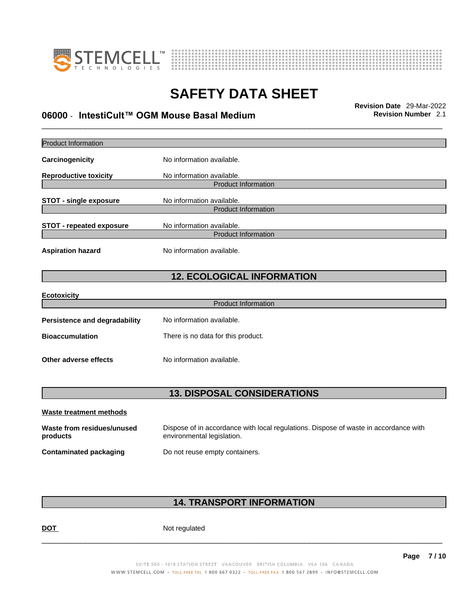



## \_\_\_\_\_\_\_\_\_\_\_\_\_\_\_\_\_\_\_\_\_\_\_\_\_\_\_\_\_\_\_\_\_\_\_\_\_\_\_\_\_\_\_\_\_\_\_\_\_\_\_\_\_\_\_\_\_\_\_\_\_\_\_\_\_\_\_\_\_\_\_\_\_\_\_\_\_\_\_\_\_\_\_\_\_\_\_\_\_\_\_\_\_ **Revision Date** 29-Mar-2022 **06000** - **IntestiCult™ OGM Mouse Basal Medium Revision Number** 2.1

| <b>Product Information</b>             |                                                                                                                    |
|----------------------------------------|--------------------------------------------------------------------------------------------------------------------|
| Carcinogenicity                        | No information available.                                                                                          |
| <b>Reproductive toxicity</b>           | No information available.                                                                                          |
|                                        | <b>Product Information</b>                                                                                         |
| <b>STOT - single exposure</b>          | No information available.<br><b>Product Information</b>                                                            |
| <b>STOT - repeated exposure</b>        | No information available.                                                                                          |
|                                        | <b>Product Information</b>                                                                                         |
| <b>Aspiration hazard</b>               | No information available.                                                                                          |
|                                        | <b>12. ECOLOGICAL INFORMATION</b>                                                                                  |
|                                        |                                                                                                                    |
| <b>Ecotoxicity</b>                     | <b>Product Information</b>                                                                                         |
|                                        |                                                                                                                    |
| Persistence and degradability          | No information available.                                                                                          |
| <b>Bioaccumulation</b>                 | There is no data for this product.                                                                                 |
| Other adverse effects                  | No information available.                                                                                          |
|                                        |                                                                                                                    |
|                                        | <b>13. DISPOSAL CONSIDERATIONS</b>                                                                                 |
| <b>Waste treatment methods</b>         |                                                                                                                    |
| Waste from residues/unused<br>products | Dispose of in accordance with local regulations. Dispose of waste in accordance with<br>environmental legislation. |
| <b>Contaminated packaging</b>          | Do not reuse empty containers.                                                                                     |

## **14. TRANSPORT INFORMATION**

DOT Not regulated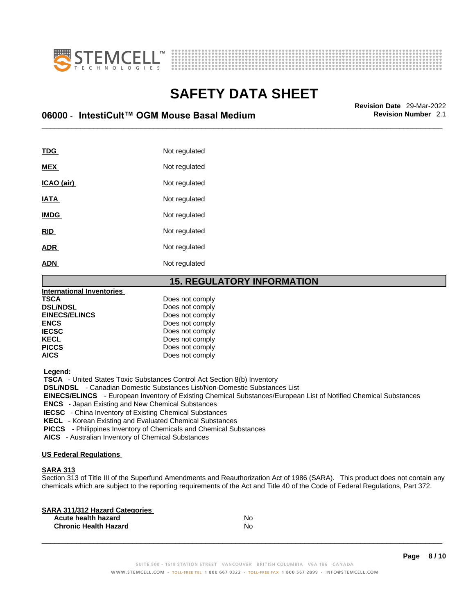



## \_\_\_\_\_\_\_\_\_\_\_\_\_\_\_\_\_\_\_\_\_\_\_\_\_\_\_\_\_\_\_\_\_\_\_\_\_\_\_\_\_\_\_\_\_\_\_\_\_\_\_\_\_\_\_\_\_\_\_\_\_\_\_\_\_\_\_\_\_\_\_\_\_\_\_\_\_\_\_\_\_\_\_\_\_\_\_\_\_\_\_\_\_ **Revision Date** 29-Mar-2022 **06000** - **IntestiCult™ OGM Mouse Basal Medium Revision Number** 2.1

| TDG         | Not regulated |
|-------------|---------------|
| <b>MEX</b>  | Not regulated |
| ICAO (air)  | Not regulated |
| <b>IATA</b> | Not regulated |
| <b>IMDG</b> | Not regulated |
| <b>RID</b>  | Not regulated |
| <b>ADR</b>  | Not regulated |
| <b>ADN</b>  | Not regulated |

## **15. REGULATORY INFORMATION**

| <b>International Inventories</b> |                 |  |
|----------------------------------|-----------------|--|
| <b>TSCA</b>                      | Does not comply |  |
| <b>DSL/NDSL</b>                  | Does not comply |  |
| <b>EINECS/ELINCS</b>             | Does not comply |  |
| <b>ENCS</b>                      | Does not comply |  |
| <b>IECSC</b>                     | Does not comply |  |
| <b>KECL</b>                      | Does not comply |  |
| <b>PICCS</b>                     | Does not comply |  |
| <b>AICS</b>                      | Does not comply |  |
|                                  |                 |  |

 **Legend:** 

 **TSCA** - United States Toxic Substances Control Act Section 8(b) Inventory

 **DSL/NDSL** - Canadian Domestic Substances List/Non-Domestic Substances List

 **EINECS/ELINCS** - European Inventory of Existing Chemical Substances/European List of Notified Chemical Substances

 **ENCS** - Japan Existing and New Chemical Substances

 **IECSC** - China Inventory of Existing Chemical Substances

 **KECL** - Korean Existing and Evaluated Chemical Substances

 **PICCS** - Philippines Inventory of Chemicals and Chemical Substances

 **AICS** - Australian Inventory of Chemical Substances

#### **US Federal Regulations**

### **SARA 313**

Section 313 of Title III of the Superfund Amendments and Reauthorization Act of 1986 (SARA). This product does not contain any chemicals which are subject to the reporting requirements of the Act and Title 40 of the Code of Federal Regulations, Part 372.

| No |  |
|----|--|
| No |  |
|    |  |

 $\_$  ,  $\_$  ,  $\_$  ,  $\_$  ,  $\_$  ,  $\_$  ,  $\_$  ,  $\_$  ,  $\_$  ,  $\_$  ,  $\_$  ,  $\_$  ,  $\_$  ,  $\_$  ,  $\_$  ,  $\_$  ,  $\_$  ,  $\_$  ,  $\_$  ,  $\_$  ,  $\_$  ,  $\_$  ,  $\_$  ,  $\_$  ,  $\_$  ,  $\_$  ,  $\_$  ,  $\_$  ,  $\_$  ,  $\_$  ,  $\_$  ,  $\_$  ,  $\_$  ,  $\_$  ,  $\_$  ,  $\_$  ,  $\_$  ,

**Page 8 / 10**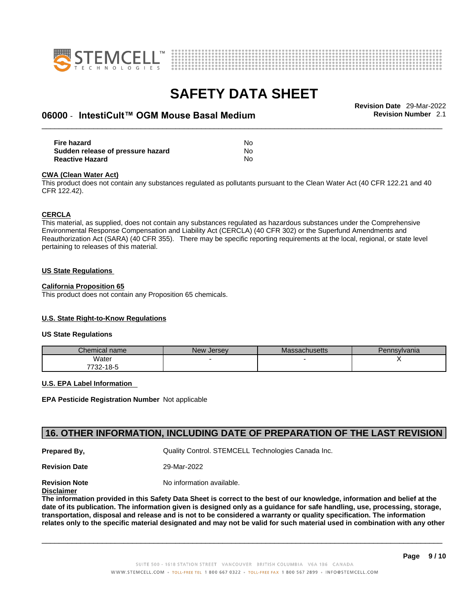



## \_\_\_\_\_\_\_\_\_\_\_\_\_\_\_\_\_\_\_\_\_\_\_\_\_\_\_\_\_\_\_\_\_\_\_\_\_\_\_\_\_\_\_\_\_\_\_\_\_\_\_\_\_\_\_\_\_\_\_\_\_\_\_\_\_\_\_\_\_\_\_\_\_\_\_\_\_\_\_\_\_\_\_\_\_\_\_\_\_\_\_\_\_ **Revision Date** 29-Mar-2022 **06000** - **IntestiCult™ OGM Mouse Basal Medium Revision Number** 2.1

**Fire hazard No. 2018 19:30 No. 2018 19:30 No. 2018 19:30 No. 2018 19:30 No. 2018 19:30 No. 2018 19:30 No. 2018 19:30 No. 2019 19:30 No. 2019 19:30 No. 2019 19:30 No. 2019 19:30 No. 2019 19:30 No. 2019 19:30 No. 2019 19:30 Sudden release of pressure hazard** No **Reactive Hazard** No

#### **CWA** (Clean Water Act)

This product does not contain any substances regulated as pollutants pursuant to the Clean Water Act (40 CFR 122.21 and 40 CFR 122.42).

#### **CERCLA**

This material, as supplied, does not contain any substances regulated as hazardous substances under the Comprehensive Environmental Response Compensation and Liability Act (CERCLA) (40 CFR 302) or the Superfund Amendments and Reauthorization Act (SARA) (40 CFR 355). There may be specific reporting requirements at the local, regional, or state level pertaining to releases of this material.

#### **US State Regulations**

#### **California Proposition 65**

This product does not contain any Proposition 65 chemicals.

## **U.S. State Right-to-Know Regulations**

#### **US State Regulations**

| Chemical name     | New<br><b>Jersey</b> | <b>Massachusetts</b> | Pennsylvania |
|-------------------|----------------------|----------------------|--------------|
| Water             |                      |                      |              |
| 7700.<br>732-18-5 |                      |                      |              |

#### **U.S. EPA Label Information**

**EPA Pesticide Registration Number** Not applicable

## **16. OTHER INFORMATION, INCLUDING DATE OF PREPARATION OF THE LAST REVISION**

**Prepared By, Cuality Control. STEMCELL Technologies Canada Inc.** 

**Revision Date** 29-Mar-2022

**Revision Note** Noinformation available.

**Disclaimer**

The information provided in this Safety Data Sheet is correct to the best of our knowledge, information and belief at the date of its publication. The information given is designed only as a guidance for safe handling, use, processing, storage, transportation, disposal and release and is not to be considered a warranty or quality specification. The information relates only to the specific material designated and may not be valid for such material used in combination with any other

 $\_$  ,  $\_$  ,  $\_$  ,  $\_$  ,  $\_$  ,  $\_$  ,  $\_$  ,  $\_$  ,  $\_$  ,  $\_$  ,  $\_$  ,  $\_$  ,  $\_$  ,  $\_$  ,  $\_$  ,  $\_$  ,  $\_$  ,  $\_$  ,  $\_$  ,  $\_$  ,  $\_$  ,  $\_$  ,  $\_$  ,  $\_$  ,  $\_$  ,  $\_$  ,  $\_$  ,  $\_$  ,  $\_$  ,  $\_$  ,  $\_$  ,  $\_$  ,  $\_$  ,  $\_$  ,  $\_$  ,  $\_$  ,  $\_$  ,

**Page 9 / 10**